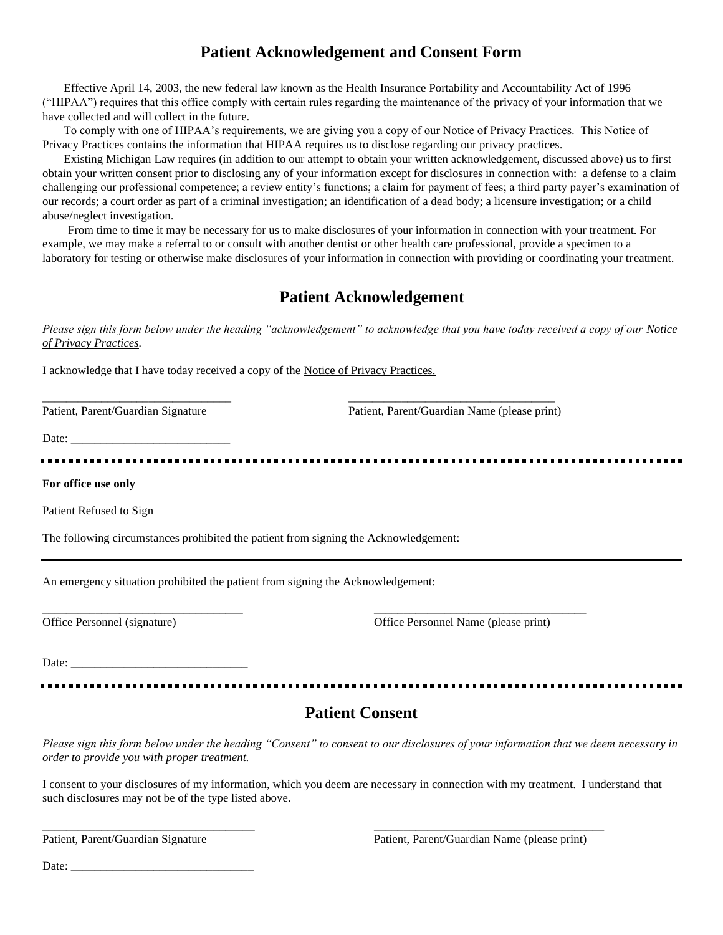## **Patient Acknowledgement and Consent Form**

Effective April 14, 2003, the new federal law known as the Health Insurance Portability and Accountability Act of 1996 ("HIPAA") requires that this office comply with certain rules regarding the maintenance of the privacy of your information that we have collected and will collect in the future.

To comply with one of HIPAA's requirements, we are giving you a copy of our Notice of Privacy Practices. This Notice of Privacy Practices contains the information that HIPAA requires us to disclose regarding our privacy practices.

Existing Michigan Law requires (in addition to our attempt to obtain your written acknowledgement, discussed above) us to first obtain your written consent prior to disclosing any of your information except for disclosures in connection with: a defense to a claim challenging our professional competence; a review entity's functions; a claim for payment of fees; a third party payer's examination of our records; a court order as part of a criminal investigation; an identification of a dead body; a licensure investigation; or a child abuse/neglect investigation.

From time to time it may be necessary for us to make disclosures of your information in connection with your treatment. For example, we may make a referral to or consult with another dentist or other health care professional, provide a specimen to a laboratory for testing or otherwise make disclosures of your information in connection with providing or coordinating your treatment.

# **Patient Acknowledgement**

*Please sign this form below under the heading "acknowledgement" to acknowledge that you have today received a copy of our Notice of Privacy Practices.*

I acknowledge that I have today received a copy of the Notice of Privacy Practices.

\_\_\_\_\_\_\_\_\_\_\_\_\_\_\_\_\_\_\_\_\_\_\_\_\_\_\_\_\_\_\_\_ \_\_\_\_\_\_\_\_\_\_\_\_\_\_\_\_\_\_\_\_\_\_\_\_\_\_\_\_\_\_\_\_\_\_\_

Patient, Parent/Guardian Signature Patient, Parent/Guardian Name (please print)

Date:

**For office use only**

Patient Refused to Sign

The following circumstances prohibited the patient from signing the Acknowledgement:

An emergency situation prohibited the patient from signing the Acknowledgement:

Office Personnel (signature) Office Personnel Name (please print)

Date:

### **Patient Consent**

<u>----------------</u>

\_\_\_\_\_\_\_\_\_\_\_\_\_\_\_\_\_\_\_\_\_\_\_\_\_\_\_\_\_\_\_\_\_\_ \_\_\_\_\_\_\_\_\_\_\_\_\_\_\_\_\_\_\_\_\_\_\_\_\_\_\_\_\_\_\_\_\_\_\_\_

*Please sign this form below under the heading "Consent" to consent to our disclosures of your information that we deem necessary in order to provide you with proper treatment.*

I consent to your disclosures of my information, which you deem are necessary in connection with my treatment. I understand that such disclosures may not be of the type listed above.

\_\_\_\_\_\_\_\_\_\_\_\_\_\_\_\_\_\_\_\_\_\_\_\_\_\_\_\_\_\_\_\_\_\_\_\_ \_\_\_\_\_\_\_\_\_\_\_\_\_\_\_\_\_\_\_\_\_\_\_\_\_\_\_\_\_\_\_\_\_\_\_\_\_\_\_

Date:  $\frac{ }{ }$